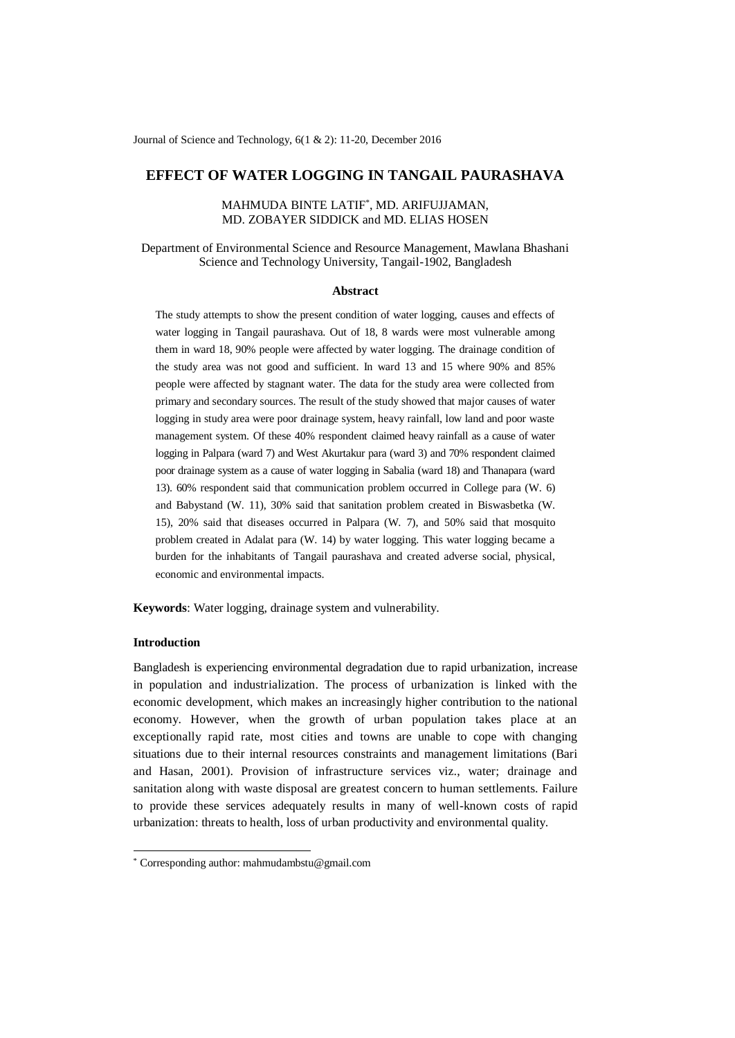Journal of Science and Technology, 6(1 & 2): 11-20, December 2016

# **EFFECT OF WATER LOGGING IN TANGAIL PAURASHAVA**

## MAHMUDA BINTE LATIF\* , MD. ARIFUJJAMAN, MD. ZOBAYER SIDDICK and MD. ELIAS HOSEN

Department of Environmental Science and Resource Management, Mawlana Bhashani Science and Technology University, Tangail-1902, Bangladesh

#### **Abstract**

The study attempts to show the present condition of water logging, causes and effects of water logging in Tangail paurashava. Out of 18, 8 wards were most vulnerable among them in ward 18, 90% people were affected by water logging. The drainage condition of the study area was not good and sufficient. In ward 13 and 15 where 90% and 85% people were affected by stagnant water. The data for the study area were collected from primary and secondary sources. The result of the study showed that major causes of water logging in study area were poor drainage system, heavy rainfall, low land and poor waste management system. Of these 40% respondent claimed heavy rainfall as a cause of water logging in Palpara (ward 7) and West Akurtakur para (ward 3) and 70% respondent claimed poor drainage system as a cause of water logging in Sabalia (ward 18) and Thanapara (ward 13). 60% respondent said that communication problem occurred in College para (W. 6) and Babystand (W. 11), 30% said that sanitation problem created in Biswasbetka (W. 15), 20% said that diseases occurred in Palpara (W. 7), and 50% said that mosquito problem created in Adalat para (W. 14) by water logging. This water logging became a burden for the inhabitants of Tangail paurashava and created adverse social, physical, economic and environmental impacts.

**Keywords**: Water logging, drainage system and vulnerability.

## **Introduction**

-

Bangladesh is experiencing environmental degradation due to rapid urbanization, increase in population and industrialization. The process of urbanization is linked with the economic development, which makes an increasingly higher contribution to the national economy. However, when the growth of urban population takes place at an exceptionally rapid rate, most cities and towns are unable to cope with changing situations due to their internal resources constraints and management limitations (Bari and Hasan, 2001). Provision of infrastructure services viz., water; drainage and sanitation along with waste disposal are greatest concern to human settlements. Failure to provide these services adequately results in many of well-known costs of rapid urbanization: threats to health, loss of urban productivity and environmental quality.

<sup>\*</sup> Corresponding author: mahmudambstu@gmail.com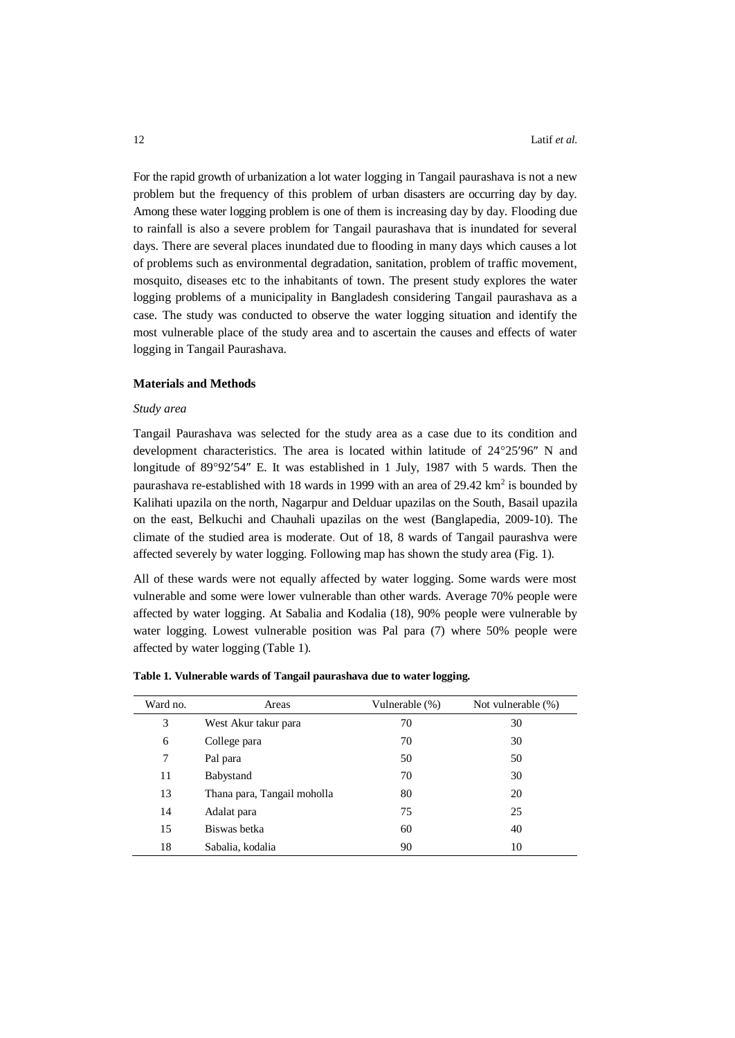For the rapid growth of urbanization a lot water logging in Tangail paurashava is not a new problem but the frequency of this problem of urban disasters are occurring day by day. Among these water logging problem is one of them is increasing day by day. Flooding due to rainfall is also a severe problem for Tangail paurashava that is inundated for several days. There are several places inundated due to flooding in many days which causes a lot of problems such as environmental degradation, sanitation, problem of traffic movement, mosquito, diseases etc to the inhabitants of town. The present study explores the water logging problems of a municipality in Bangladesh considering Tangail paurashava as a case. The study was conducted to observe the water logging situation and identify the most vulnerable place of the study area and to ascertain the causes and effects of water logging in Tangail Paurashava.

## **Materials and Methods**

### *Study area*

Tangail Paurashava was selected for the study area as a case due to its condition and development characteristics. The area is located within latitude of  $24^{\circ}25'96''$  N and longitude of 89°92'54" E. It was established in 1 July, 1987 with 5 wards. Then the paurashava re-established with 18 wards in 1999 with an area of  $29.42 \text{ km}^2$  is bounded by Kalihati upazila on the north, [Nagarpur](http://localhost:1031/HT/N_0017.HTM) an[d Delduar](http://localhost:1031/HT/D_0102.HTM) upazilas on the South[, Basail](http://localhost:1031/HT/B_0329.HTM) upazila on the east, [Belkuchi](http://localhost:1031/HT/B_0398.HTM) and [Chauhali](http://localhost:1031/HT/C_0166.HTM) upazilas on the west (Banglapedia, 2009-10). The climate of the studied area is moderate. Out of 18, 8 wards of Tangail paurashva were affected severely by water logging. Following map has shown the study area (Fig. 1).

All of these wards were not equally affected by water logging. Some wards were most vulnerable and some were lower vulnerable than other wards. Average 70% people were affected by water logging. At Sabalia and Kodalia (18), 90% people were vulnerable by water logging. Lowest vulnerable position was Pal para (7) where 50% people were affected by water logging (Table 1).

| Ward no. | Areas                       | Vulnerable (%) | Not vulnerable (%) |
|----------|-----------------------------|----------------|--------------------|
| 3        | West Akur takur para        | 70             | 30                 |
| 6        | College para                | 70             | 30                 |
| 7        | Pal para                    | 50             | 50                 |
| 11       | Babystand                   | 70             | 30                 |
| 13       | Thana para, Tangail moholla | 80             | 20                 |
| 14       | Adalat para                 | 75             | 25                 |
| 15       | Biswas betka                | 60             | 40                 |
| 18       | Sabalia, kodalia            | 90             | 10                 |

**Table 1. Vulnerable wards of Tangail paurashava due to water logging.**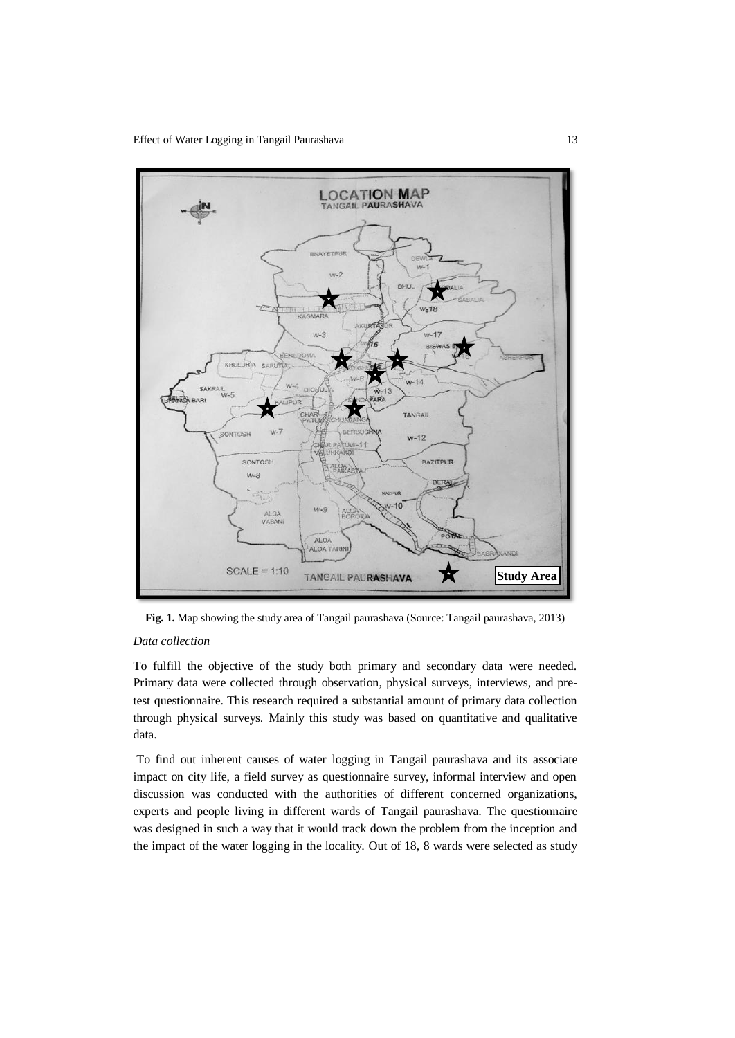Effect of Water Logging in Tangail Paurashava 13



**Fig. 1.** Map showing the study area of Tangail paurashava (Source: Tangail paurashava, 2013)

## *Data collection*

To fulfill the objective of the study both primary and secondary data were needed. Primary data were collected through observation, physical surveys, interviews, and pretest questionnaire. This research required a substantial amount of primary data collection through physical surveys. Mainly this study was based on quantitative and qualitative data.

To find out inherent causes of water logging in Tangail paurashava and its associate impact on city life, a field survey as questionnaire survey, informal interview and open discussion was conducted with the authorities of different concerned organizations, experts and people living in different wards of Tangail paurashava. The questionnaire was designed in such a way that it would track down the problem from the inception and the impact of the water logging in the locality. Out of 18, 8 wards were selected as study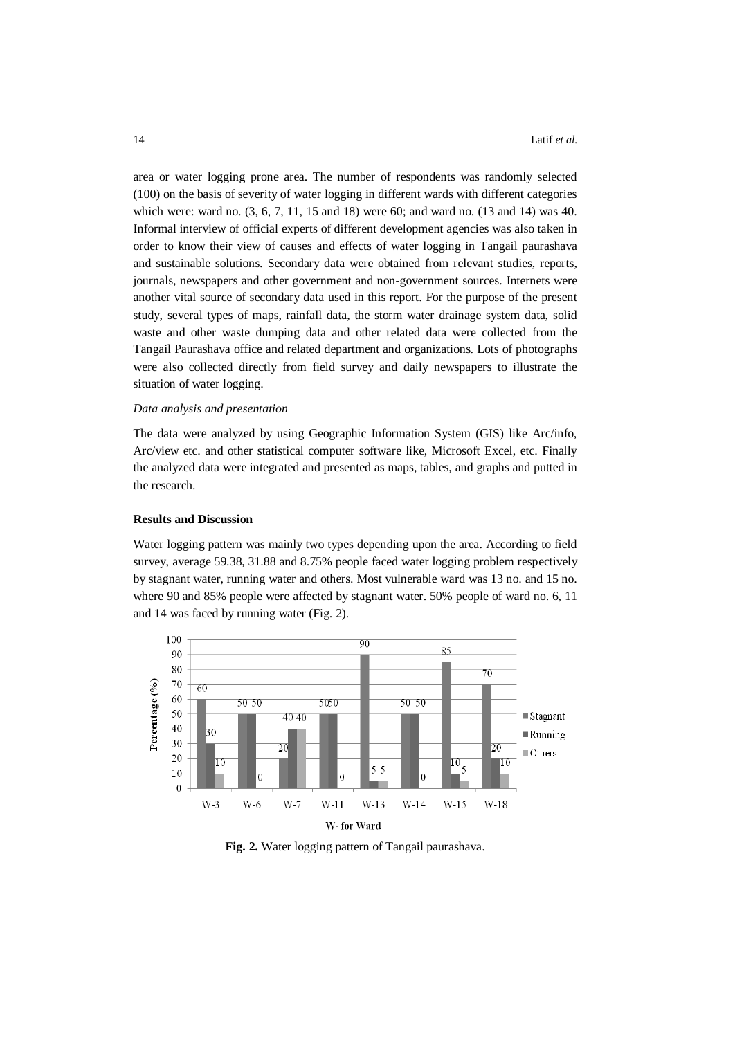area or water logging prone area. The number of respondents was randomly selected (100) on the basis of severity of water logging in different wards with different categories which were: ward no. (3, 6, 7, 11, 15 and 18) were 60; and ward no. (13 and 14) was 40. Informal interview of official experts of different development agencies was also taken in order to know their view of causes and effects of water logging in Tangail paurashava and sustainable solutions. Secondary data were obtained from relevant studies, reports, journals, newspapers and other government and non-government sources. Internets were another vital source of secondary data used in this report. For the purpose of the present study, several types of maps, rainfall data, the storm water drainage system data, solid waste and other waste dumping data and other related data were collected from the Tangail Paurashava office and related department and organizations. Lots of photographs were also collected directly from field survey and daily newspapers to illustrate the situation of water logging.

## *Data analysis and presentation*

The data were analyzed by using Geographic Information System (GIS) like Arc/info, Arc/view etc. and other statistical computer software like, Microsoft Excel, etc. Finally the analyzed data were integrated and presented as maps, tables, and graphs and putted in the research.

## **Results and Discussion**

Water logging pattern was mainly two types depending upon the area. According to field survey, average 59.38, 31.88 and 8.75% people faced water logging problem respectively by stagnant water, running water and others. Most vulnerable ward was 13 no. and 15 no. where 90 and 85% people were affected by stagnant water. 50% people of ward no. 6, 11 and 14 was faced by running water (Fig. 2).



**Fig. 2.** Water logging pattern of Tangail paurashava.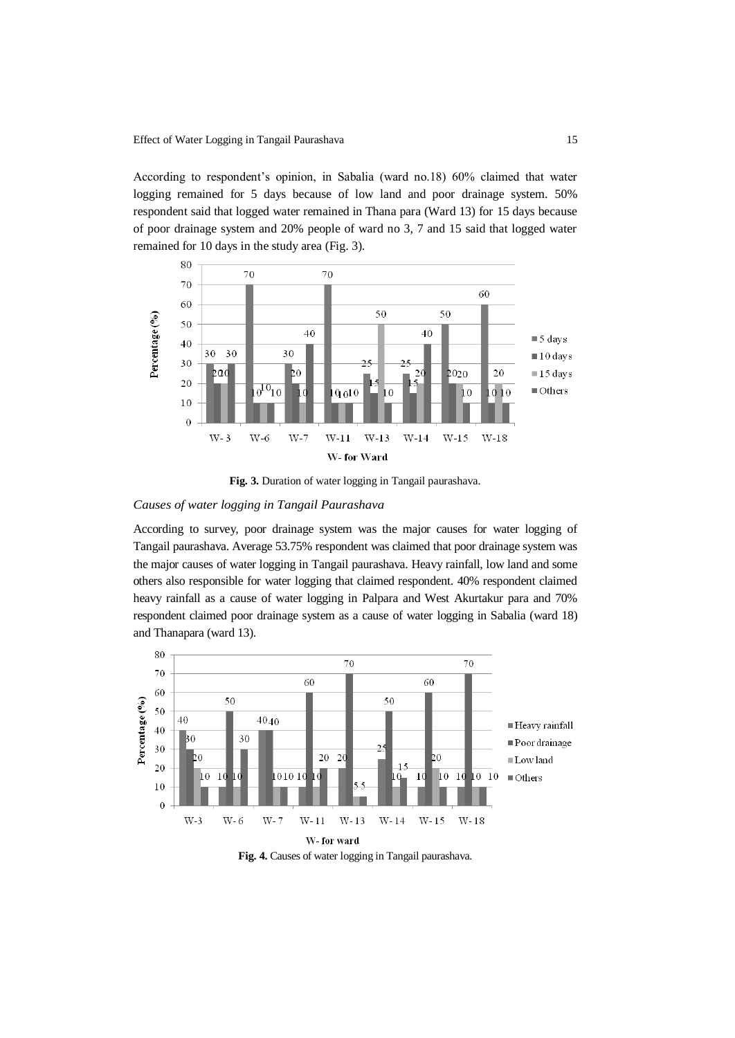According to respondent's opinion, in Sabalia (ward no.18) 60% claimed that water logging remained for 5 days because of low land and poor drainage system. 50% respondent said that logged water remained in Thana para (Ward 13) for 15 days because of poor drainage system and 20% people of ward no 3, 7 and 15 said that logged water remained for 10 days in the study area (Fig. 3).



**Fig. 3.** Duration of water logging in Tangail paurashava.

# *Causes of water logging in Tangail Paurashava*

According to survey, poor drainage system was the major causes for water logging of Tangail paurashava. Average 53.75% respondent was claimed that poor drainage system was the major causes of water logging in Tangail paurashava. Heavy rainfall, low land and some others also responsible for water logging that claimed respondent. 40% respondent claimed heavy rainfall as a cause of water logging in Palpara and West Akurtakur para and 70% respondent claimed poor drainage system as a cause of water logging in Sabalia (ward 18) and Thanapara (ward 13).



**Fig. 4.** Causes of water logging in Tangail paurashava.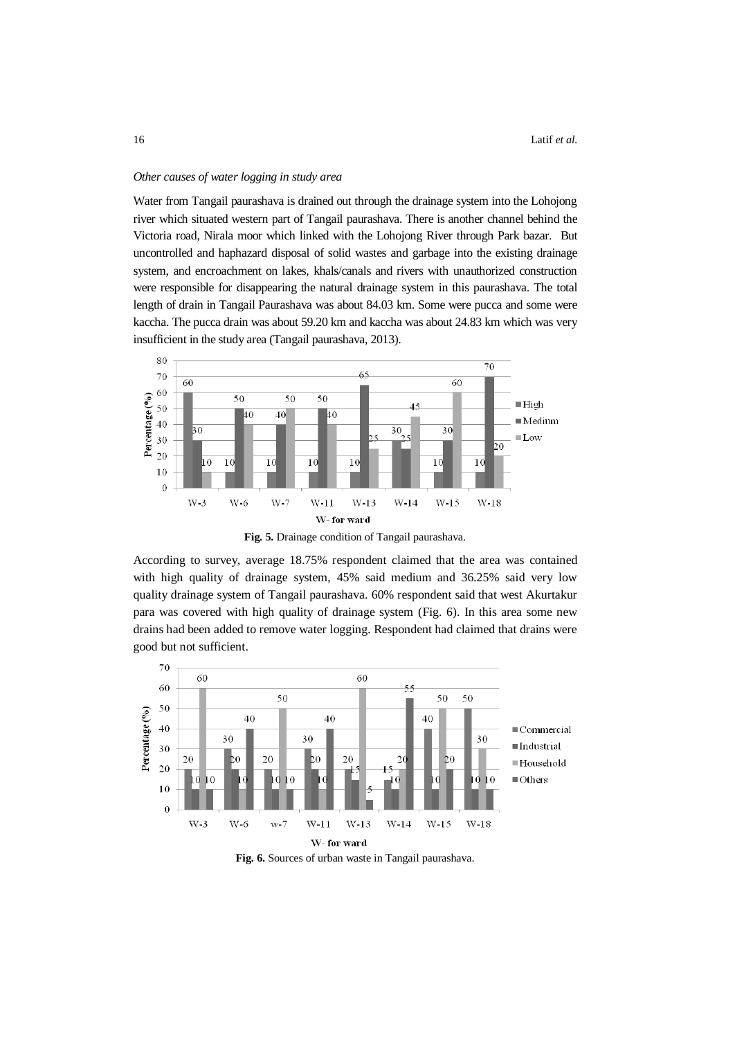#### *Other causes of water logging in study area*

Water from Tangail paurashava is drained out through the drainage system into the Lohojong river which situated western part of Tangail paurashava. There is another channel behind the Victoria road, Nirala moor which linked with the Lohojong River through Park bazar. But uncontrolled and haphazard disposal of solid wastes and garbage into the existing drainage system, and encroachment on lakes, khals/canals and rivers with unauthorized construction were responsible for disappearing the natural drainage system in this paurashava. The total length of drain in Tangail Paurashava was about 84.03 km. Some were pucca and some were kaccha. The pucca drain was about 59.20 km and kaccha was about 24.83 km which was very insufficient in the study area (Tangail paurashava, 2013).



**Fig. 5.** Drainage condition of Tangail paurashava.

According to survey, average 18.75% respondent claimed that the area was contained with high quality of drainage system, 45% said medium and 36.25% said very low quality drainage system of Tangail paurashava. 60% respondent said that west Akurtakur para was covered with high quality of drainage system (Fig. 6). In this area some new drains had been added to remove water logging. Respondent had claimed that drains were good but not sufficient.



**Fig. 6.** Sources of urban waste in Tangail paurashava.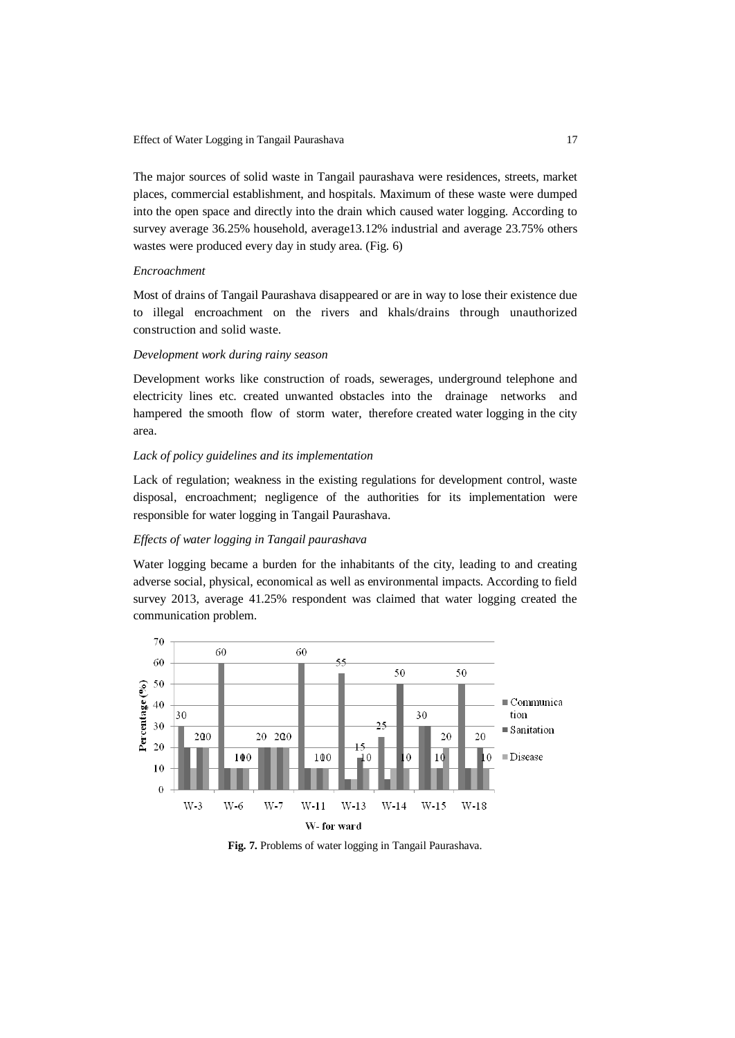Effect of Water Logging in Tangail Paurashava 17

The major sources of solid waste in Tangail paurashava were residences, streets, market places, commercial establishment, and hospitals. Maximum of these waste were dumped into the open space and directly into the drain which caused water logging. According to survey average 36.25% household, average13.12% industrial and average 23.75% others wastes were produced every day in study area. (Fig. 6)

#### *Encroachment*

Most of drains of Tangail Paurashava disappeared or are in way to lose their existence due to illegal encroachment on the rivers and khals/drains through unauthorized construction and solid waste.

### *Development work during rainy season*

Development works like construction of roads, sewerages, underground telephone and electricity lines etc. created unwanted obstacles into the drainage networks and hampered the smooth flow of storm water, therefore created water logging in the city area.

### *Lack of policy guidelines and its implementation*

Lack of regulation; weakness in the existing regulations for development control, waste disposal, encroachment; negligence of the authorities for its implementation were responsible for water logging in Tangail Paurashava.

## *Effects of water logging in Tangail paurashava*

Water logging became a burden for the inhabitants of the city, leading to and creating adverse social, physical, economical as well as environmental impacts. According to field survey 2013, average 41.25% respondent was claimed that water logging created the communication problem.



**Fig. 7.** Problems of water logging in Tangail Paurashava.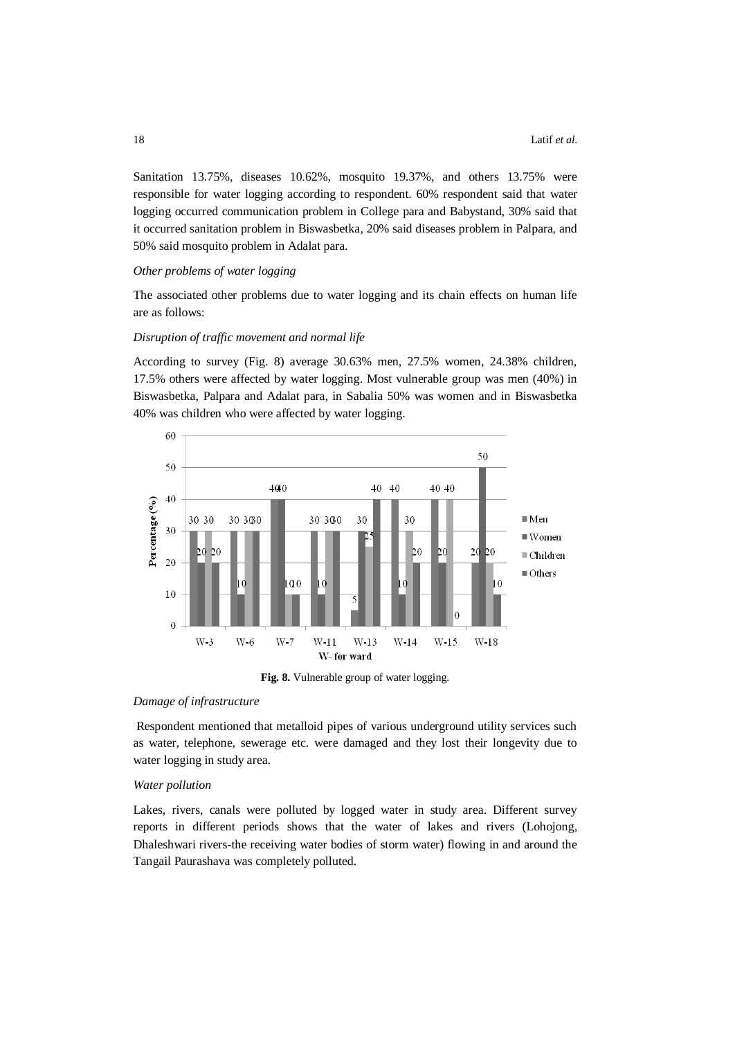Sanitation 13.75%, diseases 10.62%, mosquito 19.37%, and others 13.75% were responsible for water logging according to respondent. 60% respondent said that water logging occurred communication problem in College para and Babystand, 30% said that it occurred sanitation problem in Biswasbetka, 20% said diseases problem in Palpara, and 50% said mosquito problem in Adalat para.

#### *Other problems of water logging*

The associated other problems due to water logging and its chain effects on human life are as follows:

## *Disruption of traffic movement and normal life*

According to survey (Fig. 8) average 30.63% men, 27.5% women, 24.38% children, 17.5% others were affected by water logging. Most vulnerable group was men (40%) in Biswasbetka, Palpara and Adalat para, in Sabalia 50% was women and in Biswasbetka 40% was children who were affected by water logging.



**Fig. 8.** Vulnerable group of water logging.

#### *Damage of infrastructure*

Respondent mentioned that metalloid pipes of various underground utility services such as water, telephone, sewerage etc. were damaged and they lost their longevity due to water logging in study area.

#### *Water pollution*

Lakes, rivers, canals were polluted by logged water in study area. Different survey reports in different periods shows that the water of lakes and rivers (Lohojong, Dhaleshwari rivers-the receiving water bodies of storm water) flowing in and around the Tangail Paurashava was completely polluted.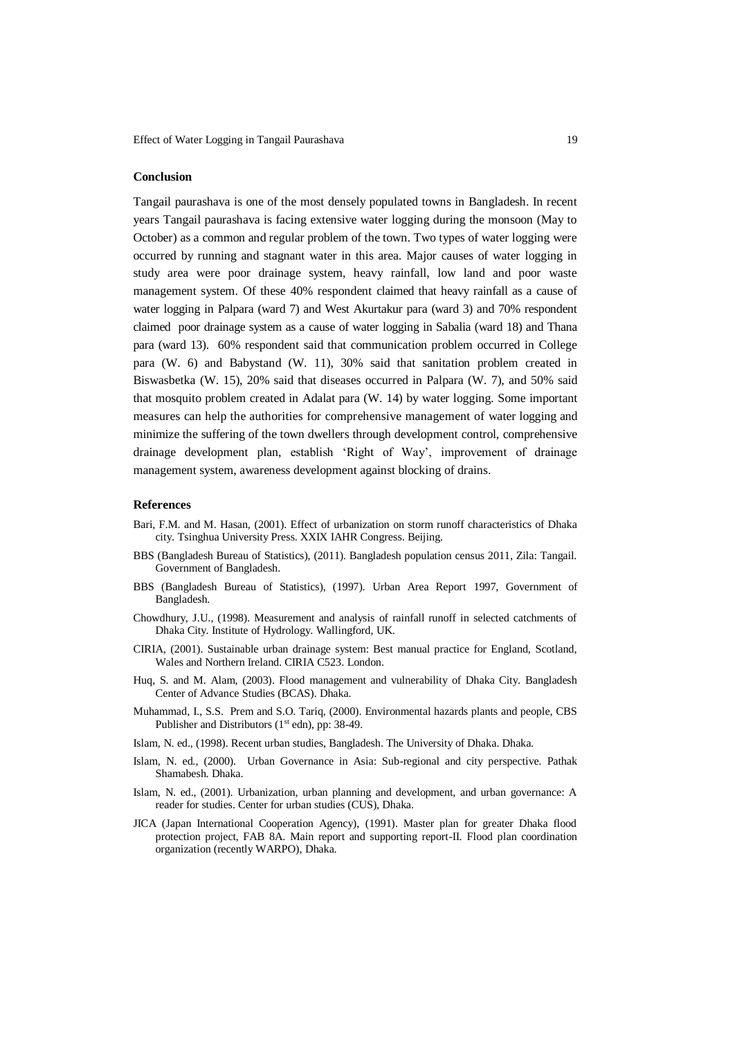#### **Conclusion**

Tangail paurashava is one of the most densely populated towns in Bangladesh. In recent years Tangail paurashava is facing extensive water logging during the monsoon (May to October) as a common and regular problem of the town. Two types of water logging were occurred by running and stagnant water in this area. Major causes of water logging in study area were poor drainage system, heavy rainfall, low land and poor waste management system. Of these 40% respondent claimed that heavy rainfall as a cause of water logging in Palpara (ward 7) and West Akurtakur para (ward 3) and 70% respondent claimed poor drainage system as a cause of water logging in Sabalia (ward 18) and Thana para (ward 13). 60% respondent said that communication problem occurred in College para (W. 6) and Babystand (W. 11), 30% said that sanitation problem created in Biswasbetka (W. 15), 20% said that diseases occurred in Palpara (W. 7), and 50% said that mosquito problem created in Adalat para (W. 14) by water logging. Some important measures can help the authorities for comprehensive management of water logging and minimize the suffering of the town dwellers through development control, comprehensive drainage development plan, establish 'Right of Way', improvement of drainage management system, awareness development against blocking of drains.

## **References**

- Bari, F.M. and M. Hasan, (2001). Effect of urbanization on storm runoff characteristics of Dhaka city. Tsinghua University Press. XXIX IAHR Congress. Beijing.
- BBS (Bangladesh Bureau of Statistics), (2011). Bangladesh population census 2011, Zila: Tangail. Government of Bangladesh.
- BBS (Bangladesh Bureau of Statistics), (1997). Urban Area Report 1997, Government of Bangladesh.
- Chowdhury, J.U., (1998). Measurement and analysis of rainfall runoff in selected catchments of Dhaka City. Institute of Hydrology. Wallingford, UK.
- CIRIA, (2001). Sustainable urban drainage system: Best manual practice for England, Scotland, Wales and Northern Ireland. CIRIA C523. London.
- Huq, S. and M. Alam, (2003). Flood management and vulnerability of Dhaka City. Bangladesh Center of Advance Studies (BCAS). Dhaka.
- Muhammad, I., S.S. Prem and S.O. Tariq, (2000). Environmental hazards plants and people, CBS Publisher and Distributors (1<sup>st</sup> edn), pp: 38-49.
- Islam, N. ed., (1998). Recent urban studies, Bangladesh. The University of Dhaka. Dhaka.
- Islam, N. ed., (2000). Urban Governance in Asia: Sub-regional and city perspective. Pathak Shamabesh. Dhaka.
- Islam, N. ed., (2001). Urbanization, urban planning and development, and urban governance: A reader for studies. Center for urban studies (CUS), Dhaka.
- JICA (Japan International Cooperation Agency), (1991). Master plan for greater Dhaka flood protection project, FAB 8A. Main report and supporting report-II. Flood plan coordination organization (recently WARPO), Dhaka.